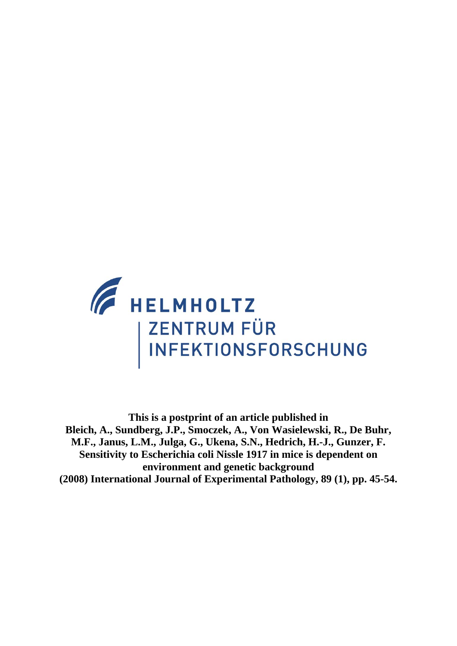

**This is a postprint of an article published in Bleich, A., Sundberg, J.P., Smoczek, A., Von Wasielewski, R., De Buhr, M.F., Janus, L.M., Julga, G., Ukena, S.N., Hedrich, H.-J., Gunzer, F. Sensitivity to Escherichia coli Nissle 1917 in mice is dependent on environment and genetic background (2008) International Journal of Experimental Pathology, 89 (1), pp. 45-54.**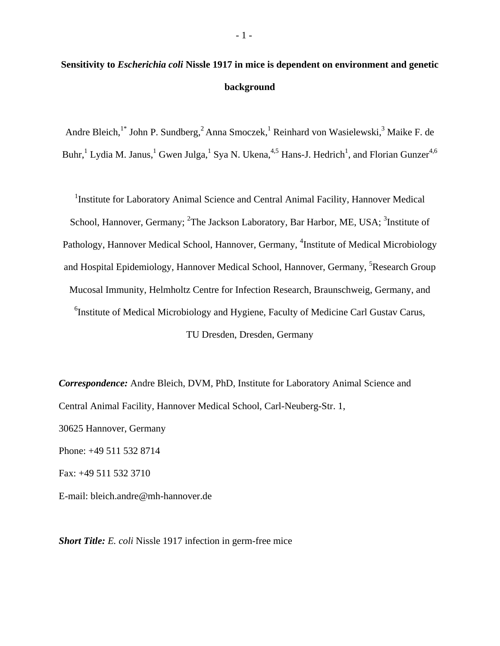# **Sensitivity to** *Escherichia coli* **Nissle 1917 in mice is dependent on environment and genetic background**

Andre Bleich,<sup>1\*</sup> John P. Sundberg,<sup>2</sup> Anna Smoczek,<sup>1</sup> Reinhard von Wasielewski,<sup>3</sup> Maike F. de Buhr, <sup>1</sup> Lydia M. Janus, <sup>1</sup> Gwen Julga, <sup>1</sup> Sya N. Ukena, <sup>4,5</sup> Hans-J. Hedrich<sup>1</sup>, and Florian Gunzer<sup>4,6</sup>

<sup>1</sup>Institute for Laboratory Animal Science and Central Animal Facility, Hannover Medical School, Hannover, Germany; <sup>2</sup>The Jackson Laboratory, Bar Harbor, ME, USA; <sup>3</sup>Institute of Pathology, Hannover Medical School, Hannover, Germany, <sup>4</sup>Institute of Medical Microbiology and Hospital Epidemiology, Hannover Medical School, Hannover, Germany, <sup>5</sup>Research Group Mucosal Immunity, Helmholtz Centre for Infection Research, Braunschweig, Germany, and <sup>6</sup>Institute of Medical Microbiology and Hygiene, Faculty of Medicine Carl Gustav Carus, TU Dresden, Dresden, Germany

*Correspondence:* Andre Bleich, DVM, PhD, Institute for Laboratory Animal Science and Central Animal Facility, Hannover Medical School, Carl-Neuberg-Str. 1, 30625 Hannover, Germany Phone: +49 511 532 8714 Fax: +49 511 532 3710 E-mail: bleich.andre@mh-hannover.de

*Short Title: E. coli* Nissle 1917 infection in germ-free mice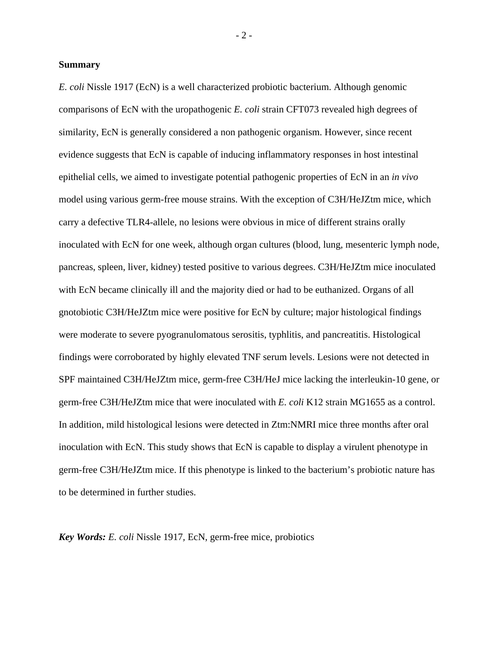# **Summary**

*E. coli* Nissle 1917 (EcN) is a well characterized probiotic bacterium. Although genomic comparisons of EcN with the uropathogenic *E. coli* strain CFT073 revealed high degrees of similarity, EcN is generally considered a non pathogenic organism. However, since recent evidence suggests that EcN is capable of inducing inflammatory responses in host intestinal epithelial cells, we aimed to investigate potential pathogenic properties of EcN in an *in vivo* model using various germ-free mouse strains. With the exception of C3H/HeJZtm mice, which carry a defective TLR4-allele, no lesions were obvious in mice of different strains orally inoculated with EcN for one week, although organ cultures (blood, lung, mesenteric lymph node, pancreas, spleen, liver, kidney) tested positive to various degrees. C3H/HeJZtm mice inoculated with EcN became clinically ill and the majority died or had to be euthanized. Organs of all gnotobiotic C3H/HeJZtm mice were positive for EcN by culture; major histological findings were moderate to severe pyogranulomatous serositis, typhlitis, and pancreatitis. Histological findings were corroborated by highly elevated TNF serum levels. Lesions were not detected in SPF maintained C3H/HeJZtm mice, germ-free C3H/HeJ mice lacking the interleukin-10 gene, or germ-free C3H/HeJZtm mice that were inoculated with *E. coli* K12 strain MG1655 as a control. In addition, mild histological lesions were detected in Ztm:NMRI mice three months after oral inoculation with EcN. This study shows that EcN is capable to display a virulent phenotype in germ-free C3H/HeJZtm mice. If this phenotype is linked to the bacterium's probiotic nature has to be determined in further studies.

*Key Words: E. coli* Nissle 1917*,* EcN, germ-free mice, probiotics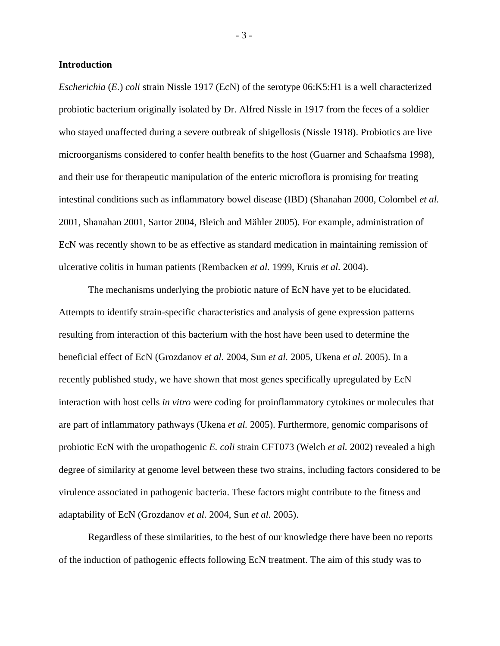# **Introduction**

*Escherichia* (*E*.) *coli* strain Nissle 1917 (EcN) of the serotype 06:K5:H1 is a well characterized probiotic bacterium originally isolated by Dr. Alfred Nissle in 1917 from the feces of a soldier who stayed unaffected during a severe outbreak of shigellosis (Nissle 1918). Probiotics are live microorganisms considered to confer health benefits to the host (Guarner and Schaafsma 1998), and their use for therapeutic manipulation of the enteric microflora is promising for treating intestinal conditions such as inflammatory bowel disease (IBD) (Shanahan 2000, Colombel *et al.* 2001, Shanahan 2001, Sartor 2004, Bleich and Mähler 2005). For example, administration of EcN was recently shown to be as effective as standard medication in maintaining remission of ulcerative colitis in human patients (Rembacken *et al.* 1999, Kruis *et al.* 2004).

The mechanisms underlying the probiotic nature of EcN have yet to be elucidated. Attempts to identify strain-specific characteristics and analysis of gene expression patterns resulting from interaction of this bacterium with the host have been used to determine the beneficial effect of EcN (Grozdanov *et al.* 2004, Sun *et al.* 2005, Ukena *et al.* 2005). In a recently published study, we have shown that most genes specifically upregulated by EcN interaction with host cells *in vitro* were coding for proinflammatory cytokines or molecules that are part of inflammatory pathways (Ukena *et al.* 2005). Furthermore, genomic comparisons of probiotic EcN with the uropathogenic *E. coli* strain CFT073 (Welch *et al.* 2002) revealed a high degree of similarity at genome level between these two strains, including factors considered to be virulence associated in pathogenic bacteria. These factors might contribute to the fitness and adaptability of EcN (Grozdanov *et al.* 2004, Sun *et al.* 2005).

Regardless of these similarities, to the best of our knowledge there have been no reports of the induction of pathogenic effects following EcN treatment. The aim of this study was to

- 3 -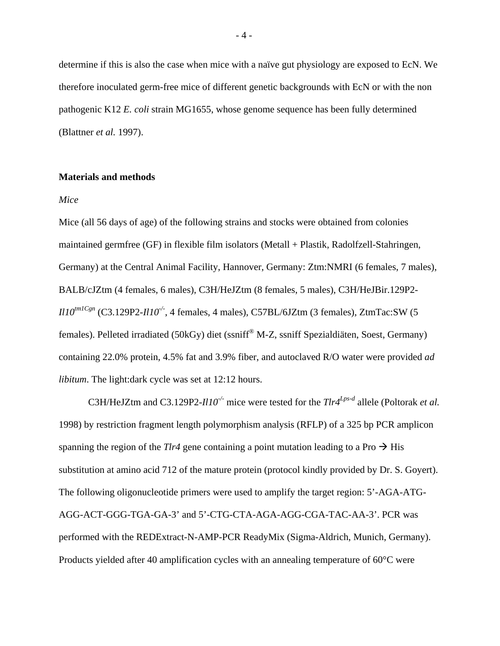determine if this is also the case when mice with a naïve gut physiology are exposed to EcN. We therefore inoculated germ-free mice of different genetic backgrounds with EcN or with the non pathogenic K12 *E. coli* strain MG1655, whose genome sequence has been fully determined (Blattner *et al.* 1997).

# **Materials and methods**

### *Mice*

Mice (all 56 days of age) of the following strains and stocks were obtained from colonies maintained germfree (GF) in flexible film isolators (Metall + Plastik, Radolfzell-Stahringen, Germany) at the Central Animal Facility, Hannover, Germany: Ztm:NMRI (6 females, 7 males), BALB/cJZtm (4 females, 6 males), C3H/HeJZtm (8 females, 5 males), C3H/HeJBir.129P2-  $I110^{tm1Cgn}$  (C3.129P2- $I110^{-/-}$ , 4 females, 4 males), C57BL/6JZtm (3 females), ZtmTac:SW (5 females). Pelleted irradiated (50kGy) diet (ssniff® M-Z, ssniff Spezialdiäten, Soest, Germany) containing 22.0% protein, 4.5% fat and 3.9% fiber, and autoclaved R/O water were provided *ad libitum*. The light:dark cycle was set at 12:12 hours.

 C3H/HeJZtm and C3.129P2-*Il10-/-* mice were tested for the *Tlr4Lps-d* allele (Poltorak *et al.* 1998) by restriction fragment length polymorphism analysis (RFLP) of a 325 bp PCR amplicon spanning the region of the *Tlr4* gene containing a point mutation leading to a Pro  $\rightarrow$  His substitution at amino acid 712 of the mature protein (protocol kindly provided by Dr. S. Goyert). The following oligonucleotide primers were used to amplify the target region: 5'-AGA-ATG-AGG-ACT-GGG-TGA-GA-3' and 5'-CTG-CTA-AGA-AGG-CGA-TAC-AA-3'. PCR was performed with the REDExtract-N-AMP-PCR ReadyMix (Sigma-Aldrich, Munich, Germany). Products yielded after 40 amplification cycles with an annealing temperature of 60°C were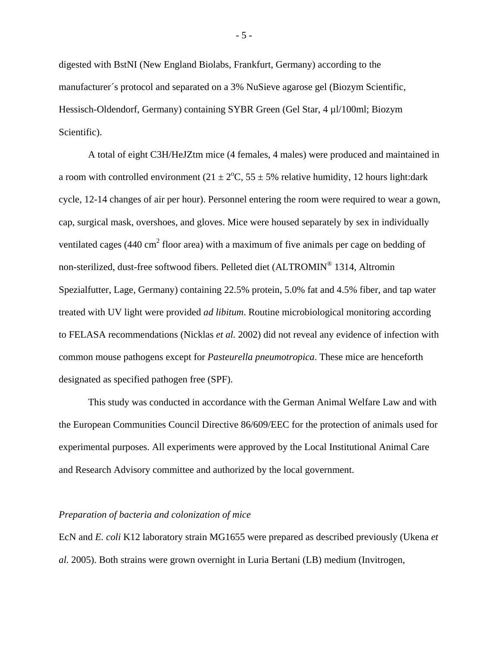digested with BstNI (New England Biolabs, Frankfurt, Germany) according to the manufacturer´s protocol and separated on a 3% NuSieve agarose gel (Biozym Scientific, Hessisch-Oldendorf, Germany) containing SYBR Green (Gel Star, 4 µl/100ml; Biozym Scientific).

A total of eight C3H/HeJZtm mice (4 females, 4 males) were produced and maintained in a room with controlled environment  $(21 \pm 2^{\circ}C, 55 \pm 5\%$  relative humidity, 12 hours light: dark cycle, 12-14 changes of air per hour). Personnel entering the room were required to wear a gown, cap, surgical mask, overshoes, and gloves. Mice were housed separately by sex in individually ventilated cages (440 cm<sup>2</sup> floor area) with a maximum of five animals per cage on bedding of non-sterilized, dust-free softwood fibers. Pelleted diet (ALTROMIN® 1314, Altromin Spezialfutter, Lage, Germany) containing 22.5% protein, 5.0% fat and 4.5% fiber, and tap water treated with UV light were provided *ad libitum*. Routine microbiological monitoring according to FELASA recommendations (Nicklas *et al.* 2002) did not reveal any evidence of infection with common mouse pathogens except for *Pasteurella pneumotropica*. These mice are henceforth designated as specified pathogen free (SPF).

 This study was conducted in accordance with the German Animal Welfare Law and with the European Communities Council Directive 86/609/EEC for the protection of animals used for experimental purposes. All experiments were approved by the Local Institutional Animal Care and Research Advisory committee and authorized by the local government.

# *Preparation of bacteria and colonization of mice*

EcN and *E. coli* K12 laboratory strain MG1655 were prepared as described previously (Ukena *et al.* 2005). Both strains were grown overnight in Luria Bertani (LB) medium (Invitrogen,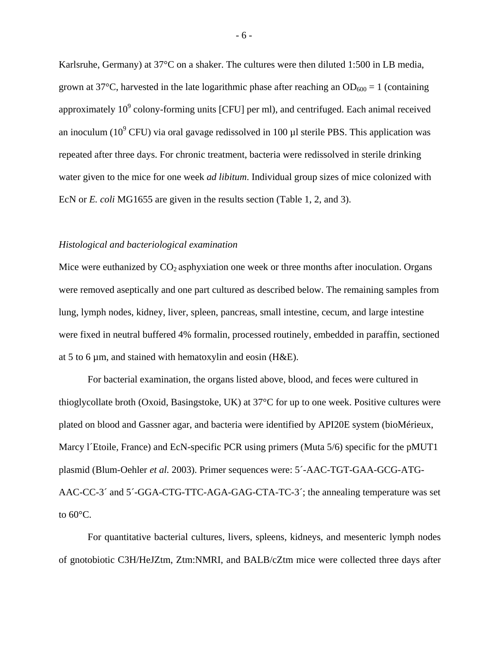Karlsruhe, Germany) at 37°C on a shaker. The cultures were then diluted 1:500 in LB media, grown at 37<sup>o</sup>C, harvested in the late logarithmic phase after reaching an  $OD_{600} = 1$  (containing approximately  $10^9$  colony-forming units [CFU] per ml), and centrifuged. Each animal received an inoculum (10<sup>9</sup> CFU) via oral gavage redissolved in 100  $\mu$ l sterile PBS. This application was repeated after three days. For chronic treatment, bacteria were redissolved in sterile drinking water given to the mice for one week *ad libitum*. Individual group sizes of mice colonized with EcN or *E. coli* MG1655 are given in the results section (Table 1, 2, and 3).

# *Histological and bacteriological examination*

Mice were euthanized by  $CO<sub>2</sub>$  asphyxiation one week or three months after inoculation. Organs were removed aseptically and one part cultured as described below. The remaining samples from lung, lymph nodes, kidney, liver, spleen, pancreas, small intestine, cecum, and large intestine were fixed in neutral buffered 4% formalin, processed routinely, embedded in paraffin, sectioned at 5 to 6  $\mu$ m, and stained with hematoxylin and eosin (H&E).

For bacterial examination, the organs listed above, blood, and feces were cultured in thioglycollate broth (Oxoid, Basingstoke, UK) at 37°C for up to one week. Positive cultures were plated on blood and Gassner agar, and bacteria were identified by API20E system (bioMérieux, Marcy l'Etoile, France) and EcN-specific PCR using primers (Muta 5/6) specific for the pMUT1 plasmid (Blum-Oehler *et al.* 2003). Primer sequences were: 5´-AAC-TGT-GAA-GCG-ATG-AAC-CC-3´ and 5´-GGA-CTG-TTC-AGA-GAG-CTA-TC-3´; the annealing temperature was set to  $60^{\circ}$ C.

For quantitative bacterial cultures, livers, spleens, kidneys, and mesenteric lymph nodes of gnotobiotic C3H/HeJZtm, Ztm:NMRI, and BALB/cZtm mice were collected three days after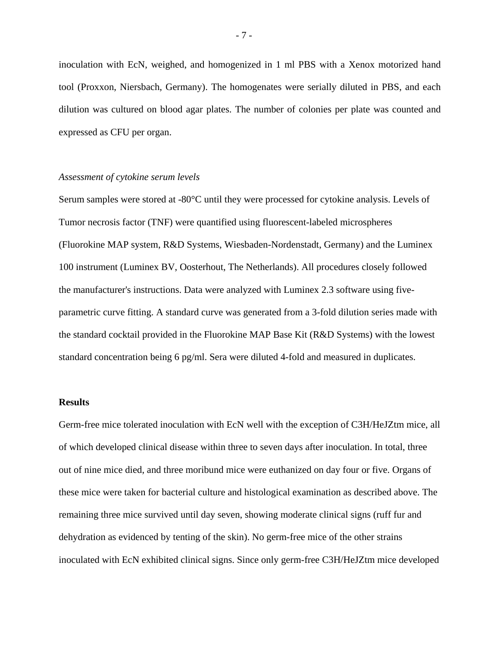inoculation with EcN, weighed, and homogenized in 1 ml PBS with a Xenox motorized hand tool (Proxxon, Niersbach, Germany). The homogenates were serially diluted in PBS, and each dilution was cultured on blood agar plates. The number of colonies per plate was counted and expressed as CFU per organ.

# *Assessment of cytokine serum levels*

Serum samples were stored at -80°C until they were processed for cytokine analysis. Levels of Tumor necrosis factor (TNF) were quantified using fluorescent-labeled microspheres (Fluorokine MAP system, R&D Systems, Wiesbaden-Nordenstadt, Germany) and the Luminex 100 instrument (Luminex BV, Oosterhout, The Netherlands). All procedures closely followed the manufacturer's instructions. Data were analyzed with Luminex 2.3 software using fiveparametric curve fitting. A standard curve was generated from a 3-fold dilution series made with the standard cocktail provided in the Fluorokine MAP Base Kit (R&D Systems) with the lowest standard concentration being 6 pg/ml. Sera were diluted 4-fold and measured in duplicates.

#### **Results**

Germ-free mice tolerated inoculation with EcN well with the exception of C3H/HeJZtm mice, all of which developed clinical disease within three to seven days after inoculation. In total, three out of nine mice died, and three moribund mice were euthanized on day four or five. Organs of these mice were taken for bacterial culture and histological examination as described above. The remaining three mice survived until day seven, showing moderate clinical signs (ruff fur and dehydration as evidenced by tenting of the skin). No germ-free mice of the other strains inoculated with EcN exhibited clinical signs. Since only germ-free C3H/HeJZtm mice developed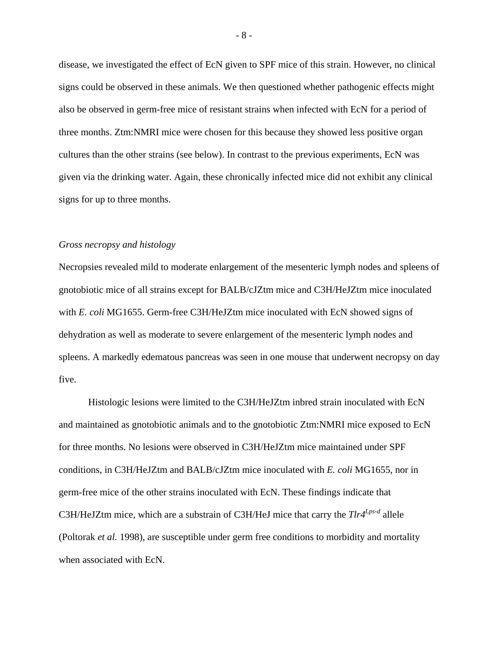disease, we investigated the effect of EcN given to SPF mice of this strain. However, no clinical signs could be observed in these animals. We then questioned whether pathogenic effects might also be observed in germ-free mice of resistant strains when infected with EcN for a period of three months. Ztm:NMRI mice were chosen for this because they showed less positive organ cultures than the other strains (see below). In contrast to the previous experiments, EcN was given via the drinking water. Again, these chronically infected mice did not exhibit any clinical signs for up to three months.

#### *Gross necropsy and histology*

Necropsies revealed mild to moderate enlargement of the mesenteric lymph nodes and spleens of gnotobiotic mice of all strains except for BALB/cJZtm mice and C3H/HeJZtm mice inoculated with *E. coli* MG1655. Germ-free C3H/HeJZtm mice inoculated with EcN showed signs of dehydration as well as moderate to severe enlargement of the mesenteric lymph nodes and spleens. A markedly edematous pancreas was seen in one mouse that underwent necropsy on day five.

 Histologic lesions were limited to the C3H/HeJZtm inbred strain inoculated with EcN and maintained as gnotobiotic animals and to the gnotobiotic Ztm:NMRI mice exposed to EcN for three months. No lesions were observed in C3H/HeJZtm mice maintained under SPF conditions, in C3H/HeJZtm and BALB/cJZtm mice inoculated with *E. coli* MG1655, nor in germ-free mice of the other strains inoculated with EcN. These findings indicate that C3H/HeJZtm mice, which are a substrain of C3H/HeJ mice that carry the *Tlr4Lps-d* allele (Poltorak *et al.* 1998), are susceptible under germ free conditions to morbidity and mortality when associated with EcN.

- 8 -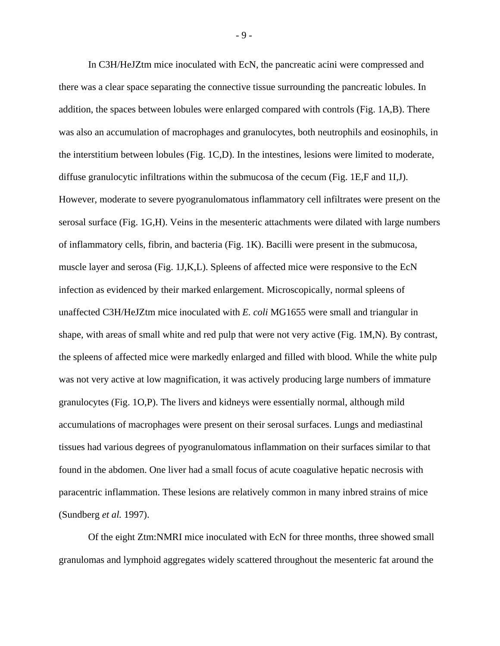In C3H/HeJZtm mice inoculated with EcN, the pancreatic acini were compressed and there was a clear space separating the connective tissue surrounding the pancreatic lobules. In addition, the spaces between lobules were enlarged compared with controls (Fig. 1A,B). There was also an accumulation of macrophages and granulocytes, both neutrophils and eosinophils, in the interstitium between lobules (Fig. 1C,D). In the intestines, lesions were limited to moderate, diffuse granulocytic infiltrations within the submucosa of the cecum (Fig. 1E,F and 1I,J). However, moderate to severe pyogranulomatous inflammatory cell infiltrates were present on the serosal surface (Fig. 1G,H). Veins in the mesenteric attachments were dilated with large numbers of inflammatory cells, fibrin, and bacteria (Fig. 1K). Bacilli were present in the submucosa, muscle layer and serosa (Fig. 1J,K,L). Spleens of affected mice were responsive to the EcN infection as evidenced by their marked enlargement. Microscopically, normal spleens of unaffected C3H/HeJZtm mice inoculated with *E. coli* MG1655 were small and triangular in shape, with areas of small white and red pulp that were not very active (Fig. 1M,N). By contrast, the spleens of affected mice were markedly enlarged and filled with blood. While the white pulp was not very active at low magnification, it was actively producing large numbers of immature granulocytes (Fig. 1O,P). The livers and kidneys were essentially normal, although mild accumulations of macrophages were present on their serosal surfaces. Lungs and mediastinal tissues had various degrees of pyogranulomatous inflammation on their surfaces similar to that found in the abdomen. One liver had a small focus of acute coagulative hepatic necrosis with paracentric inflammation. These lesions are relatively common in many inbred strains of mice (Sundberg *et al.* 1997).

Of the eight Ztm:NMRI mice inoculated with EcN for three months, three showed small granulomas and lymphoid aggregates widely scattered throughout the mesenteric fat around the

- 9 -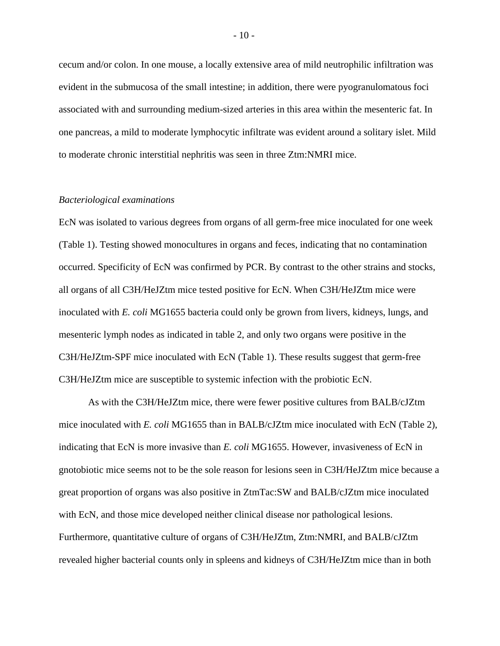cecum and/or colon. In one mouse, a locally extensive area of mild neutrophilic infiltration was evident in the submucosa of the small intestine; in addition, there were pyogranulomatous foci associated with and surrounding medium-sized arteries in this area within the mesenteric fat. In one pancreas, a mild to moderate lymphocytic infiltrate was evident around a solitary islet. Mild to moderate chronic interstitial nephritis was seen in three Ztm:NMRI mice.

### *Bacteriological examinations*

EcN was isolated to various degrees from organs of all germ-free mice inoculated for one week (Table 1). Testing showed monocultures in organs and feces, indicating that no contamination occurred. Specificity of EcN was confirmed by PCR. By contrast to the other strains and stocks, all organs of all C3H/HeJZtm mice tested positive for EcN. When C3H/HeJZtm mice were inoculated with *E. coli* MG1655 bacteria could only be grown from livers, kidneys, lungs, and mesenteric lymph nodes as indicated in table 2, and only two organs were positive in the C3H/HeJZtm-SPF mice inoculated with EcN (Table 1). These results suggest that germ-free C3H/HeJZtm mice are susceptible to systemic infection with the probiotic EcN.

As with the C3H/HeJZtm mice, there were fewer positive cultures from BALB/cJZtm mice inoculated with *E. coli* MG1655 than in BALB/cJZtm mice inoculated with EcN (Table 2), indicating that EcN is more invasive than *E. coli* MG1655. However, invasiveness of EcN in gnotobiotic mice seems not to be the sole reason for lesions seen in C3H/HeJZtm mice because a great proportion of organs was also positive in ZtmTac:SW and BALB/cJZtm mice inoculated with EcN, and those mice developed neither clinical disease nor pathological lesions. Furthermore, quantitative culture of organs of C3H/HeJZtm, Ztm:NMRI, and BALB/cJZtm revealed higher bacterial counts only in spleens and kidneys of C3H/HeJZtm mice than in both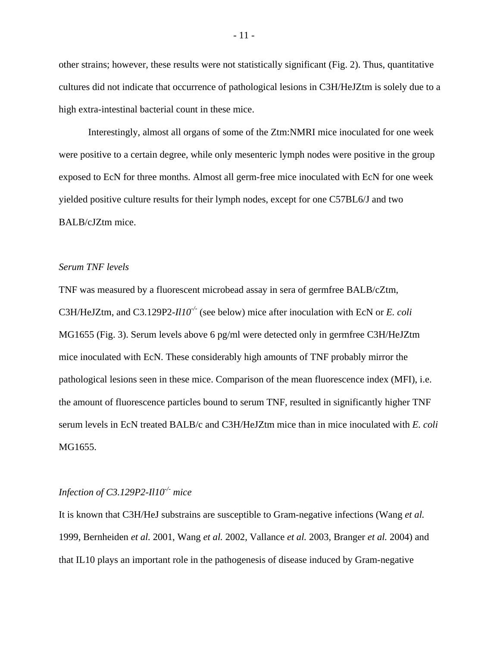other strains; however, these results were not statistically significant (Fig. 2). Thus, quantitative cultures did not indicate that occurrence of pathological lesions in C3H/HeJZtm is solely due to a high extra-intestinal bacterial count in these mice.

Interestingly, almost all organs of some of the Ztm:NMRI mice inoculated for one week were positive to a certain degree, while only mesenteric lymph nodes were positive in the group exposed to EcN for three months. Almost all germ-free mice inoculated with EcN for one week yielded positive culture results for their lymph nodes, except for one C57BL6/J and two BALB/cJZtm mice.

# *Serum TNF levels*

TNF was measured by a fluorescent microbead assay in sera of germfree BALB/cZtm, C3H/HeJZtm, and C3.129P2-*Il10-/-* (see below) mice after inoculation with EcN or *E. coli*  MG1655 (Fig. 3). Serum levels above 6 pg/ml were detected only in germfree C3H/HeJZtm mice inoculated with EcN. These considerably high amounts of TNF probably mirror the pathological lesions seen in these mice. Comparison of the mean fluorescence index (MFI), i.e. the amount of fluorescence particles bound to serum TNF, resulted in significantly higher TNF serum levels in EcN treated BALB/c and C3H/HeJZtm mice than in mice inoculated with *E. coli*  MG1655.

# *Infection of C3.129P2-Il10-/- mice*

It is known that C3H/HeJ substrains are susceptible to Gram-negative infections (Wang *et al.* 1999, Bernheiden *et al.* 2001, Wang *et al.* 2002, Vallance *et al.* 2003, Branger *et al.* 2004) and that IL10 plays an important role in the pathogenesis of disease induced by Gram-negative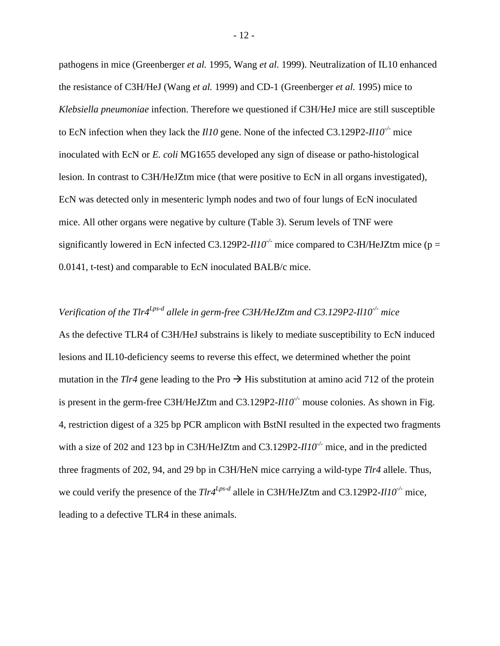pathogens in mice (Greenberger *et al.* 1995, Wang *et al.* 1999). Neutralization of IL10 enhanced the resistance of C3H/HeJ (Wang *et al.* 1999) and CD-1 (Greenberger *et al.* 1995) mice to *Klebsiella pneumoniae* infection. Therefore we questioned if C3H/HeJ mice are still susceptible to EcN infection when they lack the *Il10* gene. None of the infected C3.129P2-*Il10-/-* mice inoculated with EcN or *E. coli* MG1655 developed any sign of disease or patho-histological lesion. In contrast to C3H/HeJZtm mice (that were positive to EcN in all organs investigated), EcN was detected only in mesenteric lymph nodes and two of four lungs of EcN inoculated mice. All other organs were negative by culture (Table 3). Serum levels of TNF were significantly lowered in EcN infected C3.129P2-*Il10<sup>-/-</sup>* mice compared to C3H/HeJZtm mice (p = 0.0141, t-test) and comparable to EcN inoculated BALB/c mice.

# *Verification of the Tlr4Lps-d allele in germ-free C3H/HeJZtm and C3.129P2-Il10-/- mice*

As the defective TLR4 of C3H/HeJ substrains is likely to mediate susceptibility to EcN induced lesions and IL10-deficiency seems to reverse this effect, we determined whether the point mutation in the *Tlr4* gene leading to the Pro  $\rightarrow$  His substitution at amino acid 712 of the protein is present in the germ-free C3H/HeJZtm and C3.129P2-*Il10<sup>-/-</sup>* mouse colonies. As shown in Fig. 4, restriction digest of a 325 bp PCR amplicon with BstNI resulted in the expected two fragments with a size of 202 and 123 bp in C3H/HeJZtm and C3.129P2-*Il10-/-* mice, and in the predicted three fragments of 202, 94, and 29 bp in C3H/HeN mice carrying a wild-type *Tlr4* allele. Thus, we could verify the presence of the *Tlr4<sup>Lps-d</sup>* allele in C3H/HeJZtm and C3.129P2-*Il10<sup>-/-</sup>* mice, leading to a defective TLR4 in these animals.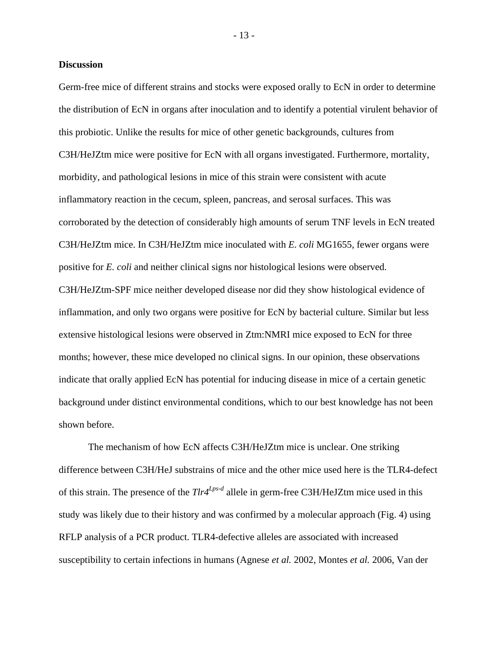# **Discussion**

Germ-free mice of different strains and stocks were exposed orally to EcN in order to determine the distribution of EcN in organs after inoculation and to identify a potential virulent behavior of this probiotic. Unlike the results for mice of other genetic backgrounds, cultures from C3H/HeJZtm mice were positive for EcN with all organs investigated. Furthermore, mortality, morbidity, and pathological lesions in mice of this strain were consistent with acute inflammatory reaction in the cecum, spleen, pancreas, and serosal surfaces. This was corroborated by the detection of considerably high amounts of serum TNF levels in EcN treated C3H/HeJZtm mice. In C3H/HeJZtm mice inoculated with *E. coli* MG1655, fewer organs were positive for *E. coli* and neither clinical signs nor histological lesions were observed. C3H/HeJZtm-SPF mice neither developed disease nor did they show histological evidence of inflammation, and only two organs were positive for EcN by bacterial culture. Similar but less extensive histological lesions were observed in Ztm:NMRI mice exposed to EcN for three months; however, these mice developed no clinical signs. In our opinion, these observations indicate that orally applied EcN has potential for inducing disease in mice of a certain genetic background under distinct environmental conditions, which to our best knowledge has not been shown before.

The mechanism of how EcN affects C3H/HeJZtm mice is unclear. One striking difference between C3H/HeJ substrains of mice and the other mice used here is the TLR4-defect of this strain. The presence of the *Tlr4Lps-d* allele in germ-free C3H/HeJZtm mice used in this study was likely due to their history and was confirmed by a molecular approach (Fig. 4) using RFLP analysis of a PCR product. TLR4-defective alleles are associated with increased susceptibility to certain infections in humans (Agnese *et al.* 2002, Montes *et al.* 2006, Van der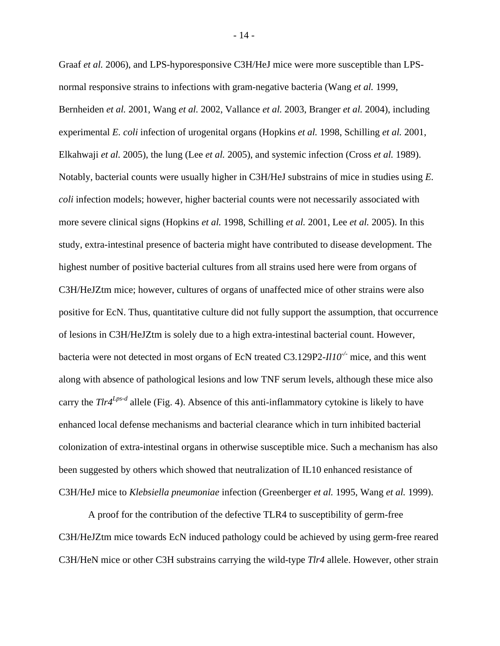Graaf *et al.* 2006), and LPS-hyporesponsive C3H/HeJ mice were more susceptible than LPSnormal responsive strains to infections with gram-negative bacteria (Wang *et al.* 1999, Bernheiden *et al.* 2001, Wang *et al.* 2002, Vallance *et al.* 2003, Branger *et al.* 2004), including experimental *E. coli* infection of urogenital organs (Hopkins *et al.* 1998, Schilling *et al.* 2001, Elkahwaji *et al.* 2005), the lung (Lee *et al.* 2005), and systemic infection (Cross *et al.* 1989). Notably, bacterial counts were usually higher in C3H/HeJ substrains of mice in studies using *E. coli* infection models; however, higher bacterial counts were not necessarily associated with more severe clinical signs (Hopkins *et al.* 1998, Schilling *et al.* 2001, Lee *et al.* 2005). In this study, extra-intestinal presence of bacteria might have contributed to disease development. The highest number of positive bacterial cultures from all strains used here were from organs of C3H/HeJZtm mice; however, cultures of organs of unaffected mice of other strains were also positive for EcN. Thus, quantitative culture did not fully support the assumption, that occurrence of lesions in C3H/HeJZtm is solely due to a high extra-intestinal bacterial count. However, bacteria were not detected in most organs of EcN treated C3.129P2-*Il10-/-* mice, and this went along with absence of pathological lesions and low TNF serum levels, although these mice also carry the *Tlr4Lps-d* allele (Fig. 4). Absence of this anti-inflammatory cytokine is likely to have enhanced local defense mechanisms and bacterial clearance which in turn inhibited bacterial colonization of extra-intestinal organs in otherwise susceptible mice. Such a mechanism has also been suggested by others which showed that neutralization of IL10 enhanced resistance of C3H/HeJ mice to *Klebsiella pneumoniae* infection (Greenberger *et al.* 1995, Wang *et al.* 1999).

A proof for the contribution of the defective TLR4 to susceptibility of germ-free C3H/HeJZtm mice towards EcN induced pathology could be achieved by using germ-free reared C3H/HeN mice or other C3H substrains carrying the wild-type *Tlr4* allele. However, other strain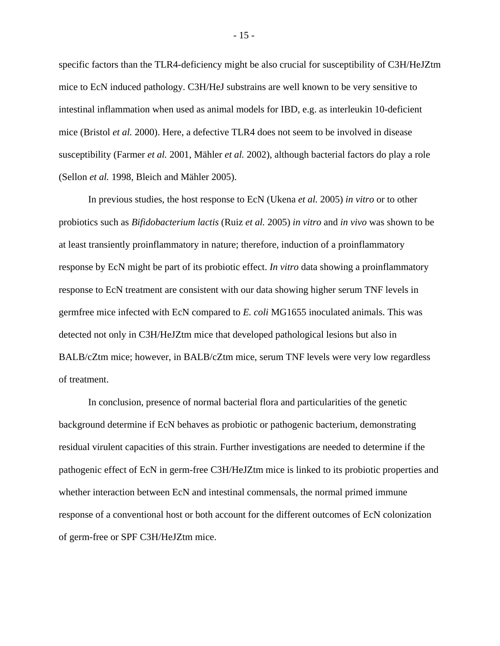specific factors than the TLR4-deficiency might be also crucial for susceptibility of C3H/HeJZtm mice to EcN induced pathology. C3H/HeJ substrains are well known to be very sensitive to intestinal inflammation when used as animal models for IBD, e.g. as interleukin 10-deficient mice (Bristol *et al.* 2000). Here, a defective TLR4 does not seem to be involved in disease susceptibility (Farmer *et al.* 2001, Mähler *et al.* 2002), although bacterial factors do play a role (Sellon *et al.* 1998, Bleich and Mähler 2005).

 In previous studies, the host response to EcN (Ukena *et al.* 2005) *in vitro* or to other probiotics such as *Bifidobacterium lactis* (Ruiz *et al.* 2005) *in vitro* and *in vivo* was shown to be at least transiently proinflammatory in nature; therefore, induction of a proinflammatory response by EcN might be part of its probiotic effect. *In vitro* data showing a proinflammatory response to EcN treatment are consistent with our data showing higher serum TNF levels in germfree mice infected with EcN compared to *E. coli* MG1655 inoculated animals. This was detected not only in C3H/HeJZtm mice that developed pathological lesions but also in BALB/cZtm mice; however, in BALB/cZtm mice, serum TNF levels were very low regardless of treatment.

In conclusion, presence of normal bacterial flora and particularities of the genetic background determine if EcN behaves as probiotic or pathogenic bacterium, demonstrating residual virulent capacities of this strain. Further investigations are needed to determine if the pathogenic effect of EcN in germ-free C3H/HeJZtm mice is linked to its probiotic properties and whether interaction between EcN and intestinal commensals, the normal primed immune response of a conventional host or both account for the different outcomes of EcN colonization of germ-free or SPF C3H/HeJZtm mice.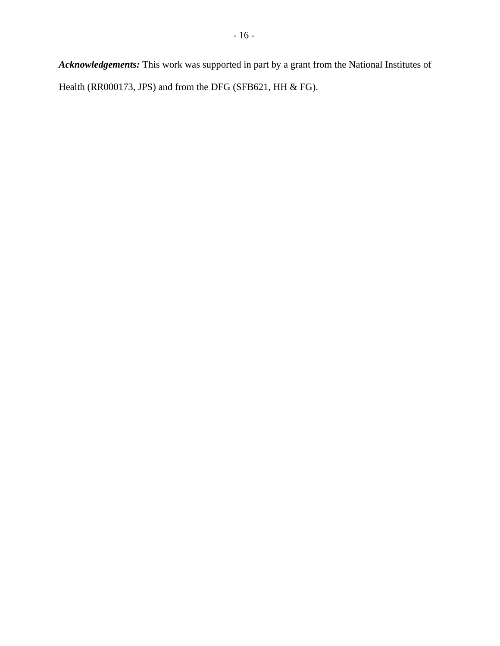*Acknowledgements:* This work was supported in part by a grant from the National Institutes of Health (RR000173, JPS) and from the DFG (SFB621, HH & FG).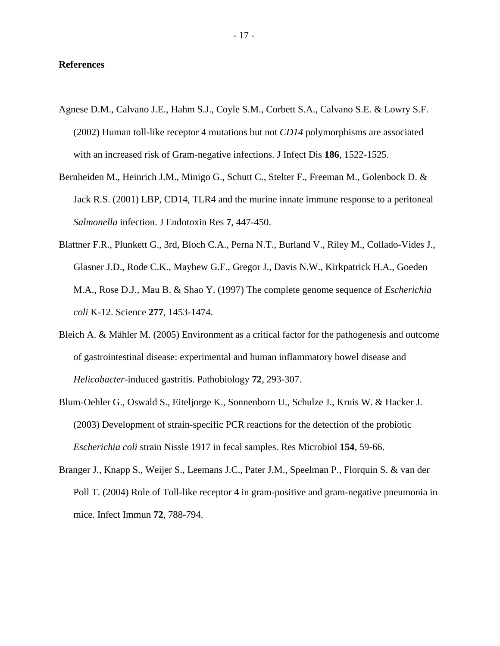# **References**

- Agnese D.M., Calvano J.E., Hahm S.J., Coyle S.M., Corbett S.A., Calvano S.E. & Lowry S.F. (2002) Human toll-like receptor 4 mutations but not *CD14* polymorphisms are associated with an increased risk of Gram-negative infections. J Infect Dis **186**, 1522-1525.
- Bernheiden M., Heinrich J.M., Minigo G., Schutt C., Stelter F., Freeman M., Golenbock D. & Jack R.S. (2001) LBP, CD14, TLR4 and the murine innate immune response to a peritoneal *Salmonella* infection. J Endotoxin Res **7**, 447-450.
- Blattner F.R., Plunkett G., 3rd, Bloch C.A., Perna N.T., Burland V., Riley M., Collado-Vides J., Glasner J.D., Rode C.K., Mayhew G.F., Gregor J., Davis N.W., Kirkpatrick H.A., Goeden M.A., Rose D.J., Mau B. & Shao Y. (1997) The complete genome sequence of *Escherichia coli* K-12. Science **277**, 1453-1474.
- Bleich A. & Mähler M. (2005) Environment as a critical factor for the pathogenesis and outcome of gastrointestinal disease: experimental and human inflammatory bowel disease and *Helicobacter*-induced gastritis. Pathobiology **72**, 293-307.
- Blum-Oehler G., Oswald S., Eiteljorge K., Sonnenborn U., Schulze J., Kruis W. & Hacker J. (2003) Development of strain-specific PCR reactions for the detection of the probiotic *Escherichia coli* strain Nissle 1917 in fecal samples. Res Microbiol **154**, 59-66.
- Branger J., Knapp S., Weijer S., Leemans J.C., Pater J.M., Speelman P., Florquin S. & van der Poll T. (2004) Role of Toll-like receptor 4 in gram-positive and gram-negative pneumonia in mice. Infect Immun **72**, 788-794.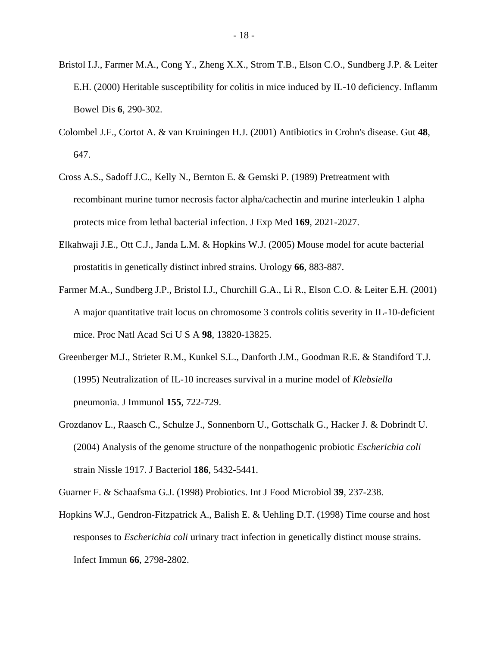- Bristol I.J., Farmer M.A., Cong Y., Zheng X.X., Strom T.B., Elson C.O., Sundberg J.P. & Leiter E.H. (2000) Heritable susceptibility for colitis in mice induced by IL-10 deficiency. Inflamm Bowel Dis **6**, 290-302.
- Colombel J.F., Cortot A. & van Kruiningen H.J. (2001) Antibiotics in Crohn's disease. Gut **48**, 647.
- Cross A.S., Sadoff J.C., Kelly N., Bernton E. & Gemski P. (1989) Pretreatment with recombinant murine tumor necrosis factor alpha/cachectin and murine interleukin 1 alpha protects mice from lethal bacterial infection. J Exp Med **169**, 2021-2027.
- Elkahwaji J.E., Ott C.J., Janda L.M. & Hopkins W.J. (2005) Mouse model for acute bacterial prostatitis in genetically distinct inbred strains. Urology **66**, 883-887.
- Farmer M.A., Sundberg J.P., Bristol I.J., Churchill G.A., Li R., Elson C.O. & Leiter E.H. (2001) A major quantitative trait locus on chromosome 3 controls colitis severity in IL-10-deficient mice. Proc Natl Acad Sci U S A **98**, 13820-13825.
- Greenberger M.J., Strieter R.M., Kunkel S.L., Danforth J.M., Goodman R.E. & Standiford T.J. (1995) Neutralization of IL-10 increases survival in a murine model of *Klebsiella*  pneumonia. J Immunol **155**, 722-729.
- Grozdanov L., Raasch C., Schulze J., Sonnenborn U., Gottschalk G., Hacker J. & Dobrindt U. (2004) Analysis of the genome structure of the nonpathogenic probiotic *Escherichia coli*  strain Nissle 1917. J Bacteriol **186**, 5432-5441.
- Guarner F. & Schaafsma G.J. (1998) Probiotics. Int J Food Microbiol **39**, 237-238.
- Hopkins W.J., Gendron-Fitzpatrick A., Balish E. & Uehling D.T. (1998) Time course and host responses to *Escherichia coli* urinary tract infection in genetically distinct mouse strains. Infect Immun **66**, 2798-2802.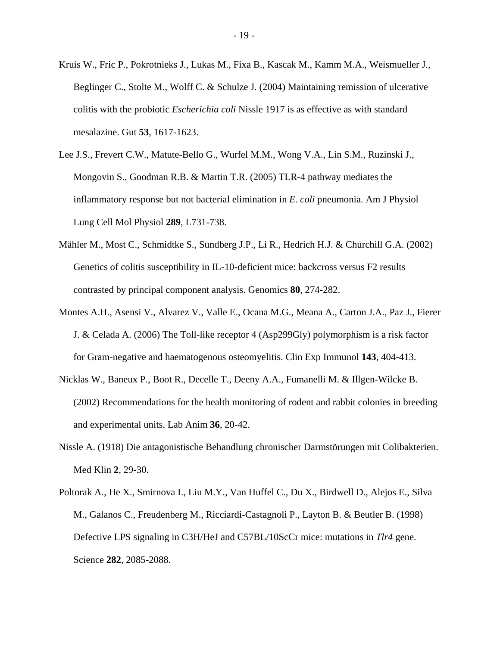- Kruis W., Fric P., Pokrotnieks J., Lukas M., Fixa B., Kascak M., Kamm M.A., Weismueller J., Beglinger C., Stolte M., Wolff C. & Schulze J. (2004) Maintaining remission of ulcerative colitis with the probiotic *Escherichia coli* Nissle 1917 is as effective as with standard mesalazine. Gut **53**, 1617-1623.
- Lee J.S., Frevert C.W., Matute-Bello G., Wurfel M.M., Wong V.A., Lin S.M., Ruzinski J., Mongovin S., Goodman R.B. & Martin T.R. (2005) TLR-4 pathway mediates the inflammatory response but not bacterial elimination in *E. coli* pneumonia. Am J Physiol Lung Cell Mol Physiol **289**, L731-738.
- Mähler M., Most C., Schmidtke S., Sundberg J.P., Li R., Hedrich H.J. & Churchill G.A. (2002) Genetics of colitis susceptibility in IL-10-deficient mice: backcross versus F2 results contrasted by principal component analysis. Genomics **80**, 274-282.
- Montes A.H., Asensi V., Alvarez V., Valle E., Ocana M.G., Meana A., Carton J.A., Paz J., Fierer J. & Celada A. (2006) The Toll-like receptor 4 (Asp299Gly) polymorphism is a risk factor for Gram-negative and haematogenous osteomyelitis. Clin Exp Immunol **143**, 404-413.
- Nicklas W., Baneux P., Boot R., Decelle T., Deeny A.A., Fumanelli M. & Illgen-Wilcke B. (2002) Recommendations for the health monitoring of rodent and rabbit colonies in breeding and experimental units. Lab Anim **36**, 20-42.
- Nissle A. (1918) Die antagonistische Behandlung chronischer Darmstörungen mit Colibakterien. Med Klin **2**, 29-30.
- Poltorak A., He X., Smirnova I., Liu M.Y., Van Huffel C., Du X., Birdwell D., Alejos E., Silva M., Galanos C., Freudenberg M., Ricciardi-Castagnoli P., Layton B. & Beutler B. (1998) Defective LPS signaling in C3H/HeJ and C57BL/10ScCr mice: mutations in *Tlr4* gene. Science **282**, 2085-2088.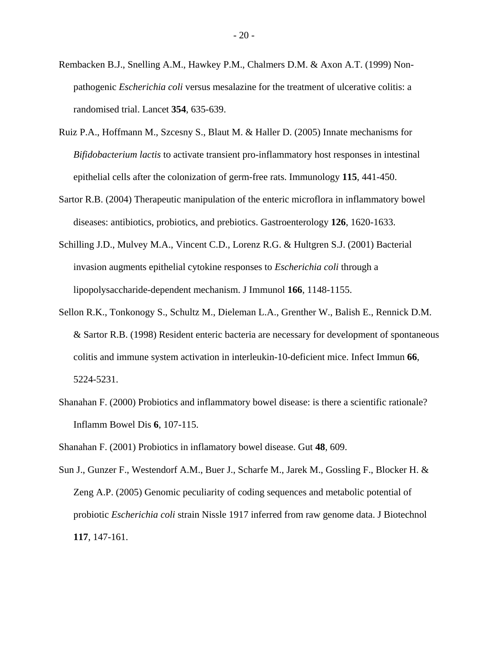- Rembacken B.J., Snelling A.M., Hawkey P.M., Chalmers D.M. & Axon A.T. (1999) Nonpathogenic *Escherichia coli* versus mesalazine for the treatment of ulcerative colitis: a randomised trial. Lancet **354**, 635-639.
- Ruiz P.A., Hoffmann M., Szcesny S., Blaut M. & Haller D. (2005) Innate mechanisms for *Bifidobacterium lactis* to activate transient pro-inflammatory host responses in intestinal epithelial cells after the colonization of germ-free rats. Immunology **115**, 441-450.
- Sartor R.B. (2004) Therapeutic manipulation of the enteric microflora in inflammatory bowel diseases: antibiotics, probiotics, and prebiotics. Gastroenterology **126**, 1620-1633.
- Schilling J.D., Mulvey M.A., Vincent C.D., Lorenz R.G. & Hultgren S.J. (2001) Bacterial invasion augments epithelial cytokine responses to *Escherichia coli* through a lipopolysaccharide-dependent mechanism. J Immunol **166**, 1148-1155.
- Sellon R.K., Tonkonogy S., Schultz M., Dieleman L.A., Grenther W., Balish E., Rennick D.M. & Sartor R.B. (1998) Resident enteric bacteria are necessary for development of spontaneous colitis and immune system activation in interleukin-10-deficient mice. Infect Immun **66**, 5224-5231.
- Shanahan F. (2000) Probiotics and inflammatory bowel disease: is there a scientific rationale? Inflamm Bowel Dis **6**, 107-115.

Shanahan F. (2001) Probiotics in inflamatory bowel disease. Gut **48**, 609.

Sun J., Gunzer F., Westendorf A.M., Buer J., Scharfe M., Jarek M., Gossling F., Blocker H. & Zeng A.P. (2005) Genomic peculiarity of coding sequences and metabolic potential of probiotic *Escherichia coli* strain Nissle 1917 inferred from raw genome data. J Biotechnol **117**, 147-161.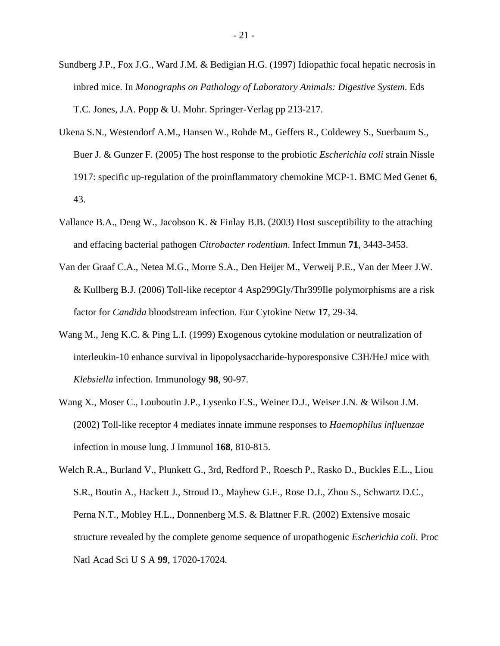- Sundberg J.P., Fox J.G., Ward J.M. & Bedigian H.G. (1997) Idiopathic focal hepatic necrosis in inbred mice. In *Monographs on Pathology of Laboratory Animals: Digestive System*. Eds T.C. Jones, J.A. Popp & U. Mohr. Springer-Verlag pp 213-217.
- Ukena S.N., Westendorf A.M., Hansen W., Rohde M., Geffers R., Coldewey S., Suerbaum S., Buer J. & Gunzer F. (2005) The host response to the probiotic *Escherichia coli* strain Nissle 1917: specific up-regulation of the proinflammatory chemokine MCP-1. BMC Med Genet **6**, 43.
- Vallance B.A., Deng W., Jacobson K. & Finlay B.B. (2003) Host susceptibility to the attaching and effacing bacterial pathogen *Citrobacter rodentium*. Infect Immun **71**, 3443-3453.
- Van der Graaf C.A., Netea M.G., Morre S.A., Den Heijer M., Verweij P.E., Van der Meer J.W. & Kullberg B.J. (2006) Toll-like receptor 4 Asp299Gly/Thr399Ile polymorphisms are a risk factor for *Candida* bloodstream infection. Eur Cytokine Netw **17**, 29-34.
- Wang M., Jeng K.C. & Ping L.I. (1999) Exogenous cytokine modulation or neutralization of interleukin-10 enhance survival in lipopolysaccharide-hyporesponsive C3H/HeJ mice with *Klebsiella* infection. Immunology **98**, 90-97.
- Wang X., Moser C., Louboutin J.P., Lysenko E.S., Weiner D.J., Weiser J.N. & Wilson J.M. (2002) Toll-like receptor 4 mediates innate immune responses to *Haemophilus influenzae* infection in mouse lung. J Immunol **168**, 810-815.
- Welch R.A., Burland V., Plunkett G., 3rd, Redford P., Roesch P., Rasko D., Buckles E.L., Liou S.R., Boutin A., Hackett J., Stroud D., Mayhew G.F., Rose D.J., Zhou S., Schwartz D.C., Perna N.T., Mobley H.L., Donnenberg M.S. & Blattner F.R. (2002) Extensive mosaic structure revealed by the complete genome sequence of uropathogenic *Escherichia coli*. Proc Natl Acad Sci U S A **99**, 17020-17024.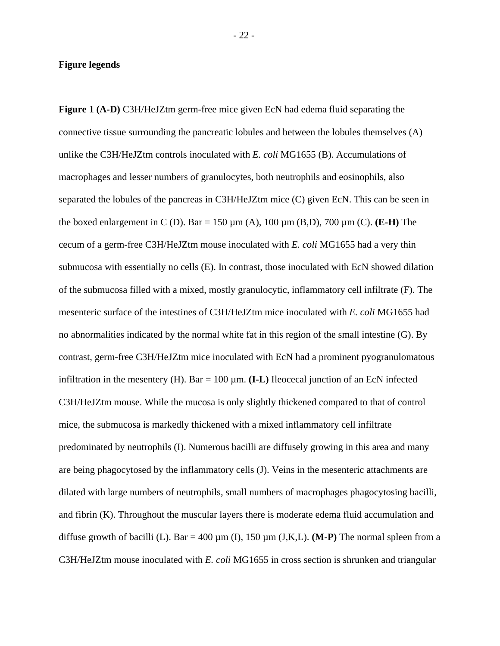# **Figure legends**

**Figure 1 (A-D)** C3H/HeJZtm germ-free mice given EcN had edema fluid separating the connective tissue surrounding the pancreatic lobules and between the lobules themselves (A) unlike the C3H/HeJZtm controls inoculated with *E. coli* MG1655 (B). Accumulations of macrophages and lesser numbers of granulocytes, both neutrophils and eosinophils, also separated the lobules of the pancreas in C3H/HeJZtm mice (C) given EcN. This can be seen in the boxed enlargement in C (D). Bar = 150 µm (A), 100 µm (B,D), 700 µm (C). **(E-H)** The cecum of a germ-free C3H/HeJZtm mouse inoculated with *E. coli* MG1655 had a very thin submucosa with essentially no cells (E). In contrast, those inoculated with EcN showed dilation of the submucosa filled with a mixed, mostly granulocytic, inflammatory cell infiltrate (F). The mesenteric surface of the intestines of C3H/HeJZtm mice inoculated with *E. coli* MG1655 had no abnormalities indicated by the normal white fat in this region of the small intestine (G). By contrast, germ-free C3H/HeJZtm mice inoculated with EcN had a prominent pyogranulomatous infiltration in the mesentery (H). Bar  $= 100 \mu m$ . **(I-L)** Ileocecal junction of an EcN infected C3H/HeJZtm mouse. While the mucosa is only slightly thickened compared to that of control mice, the submucosa is markedly thickened with a mixed inflammatory cell infiltrate predominated by neutrophils (I). Numerous bacilli are diffusely growing in this area and many are being phagocytosed by the inflammatory cells (J). Veins in the mesenteric attachments are dilated with large numbers of neutrophils, small numbers of macrophages phagocytosing bacilli, and fibrin (K). Throughout the muscular layers there is moderate edema fluid accumulation and diffuse growth of bacilli (L). Bar = 400  $\mu$ m (I), 150  $\mu$ m (J,K,L). **(M-P)** The normal spleen from a C3H/HeJZtm mouse inoculated with *E. coli* MG1655 in cross section is shrunken and triangular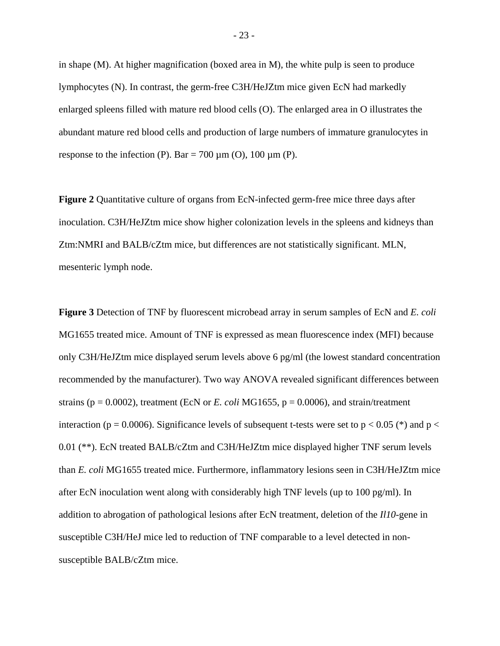in shape (M). At higher magnification (boxed area in M), the white pulp is seen to produce lymphocytes (N). In contrast, the germ-free C3H/HeJZtm mice given EcN had markedly enlarged spleens filled with mature red blood cells (O). The enlarged area in O illustrates the abundant mature red blood cells and production of large numbers of immature granulocytes in response to the infection (P). Bar = 700  $\mu$ m (O), 100  $\mu$ m (P).

**Figure 2** Quantitative culture of organs from EcN-infected germ-free mice three days after inoculation. C3H/HeJZtm mice show higher colonization levels in the spleens and kidneys than Ztm:NMRI and BALB/cZtm mice, but differences are not statistically significant. MLN, mesenteric lymph node.

**Figure 3** Detection of TNF by fluorescent microbead array in serum samples of EcN and *E. coli* MG1655 treated mice. Amount of TNF is expressed as mean fluorescence index (MFI) because only C3H/HeJZtm mice displayed serum levels above 6 pg/ml (the lowest standard concentration recommended by the manufacturer). Two way ANOVA revealed significant differences between strains ( $p = 0.0002$ ), treatment (EcN or *E. coli* MG1655,  $p = 0.0006$ ), and strain/treatment interaction (p = 0.0006). Significance levels of subsequent t-tests were set to p < 0.05 (\*) and p < 0.01 (\*\*). EcN treated BALB/cZtm and C3H/HeJZtm mice displayed higher TNF serum levels than *E. coli* MG1655 treated mice. Furthermore, inflammatory lesions seen in C3H/HeJZtm mice after EcN inoculation went along with considerably high TNF levels (up to 100 pg/ml). In addition to abrogation of pathological lesions after EcN treatment, deletion of the *Il10*-gene in susceptible C3H/HeJ mice led to reduction of TNF comparable to a level detected in nonsusceptible BALB/cZtm mice.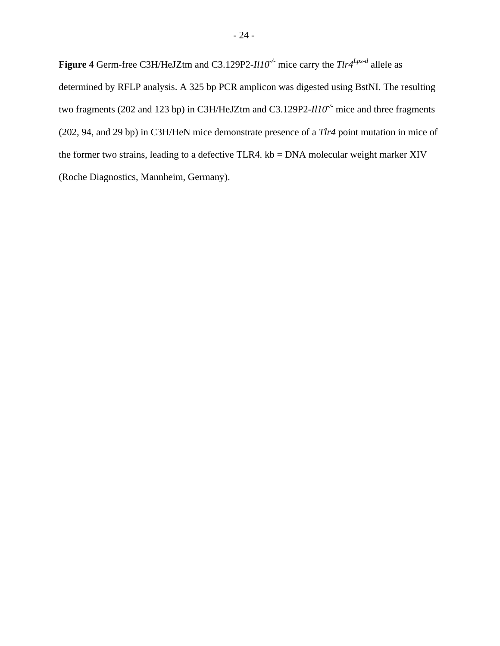**Figure 4** Germ-free C3H/HeJZtm and C3.129P2-*Il10-/-* mice carry the *Tlr4Lps-d* allele as determined by RFLP analysis. A 325 bp PCR amplicon was digested using BstNI. The resulting two fragments (202 and 123 bp) in C3H/HeJZtm and C3.129P2-*Il10-/-* mice and three fragments (202, 94, and 29 bp) in C3H/HeN mice demonstrate presence of a *Tlr4* point mutation in mice of the former two strains, leading to a defective TLR4. kb = DNA molecular weight marker XIV (Roche Diagnostics, Mannheim, Germany).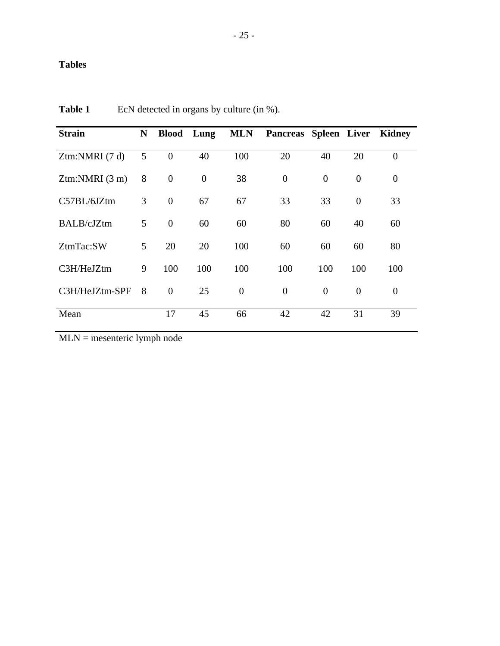# **Tables**

| <b>Strain</b>               | N | <b>Blood</b> Lung |                |                | <b>MLN</b> Pancreas Spleen Liver Kidney |                |                |                  |
|-----------------------------|---|-------------------|----------------|----------------|-----------------------------------------|----------------|----------------|------------------|
| Ztm:NMRI (7 d)              | 5 | $\overline{0}$    | 40             | 100            | 20                                      | 40             | 20             | $\overline{0}$   |
| $Z$ tm:NMRI $(3 \text{ m})$ | 8 | $\overline{0}$    | $\overline{0}$ | 38             | $\overline{0}$                          | $\overline{0}$ | $\overline{0}$ | $\boldsymbol{0}$ |
| $C57BL/6JZ$ tm              | 3 | $\theta$          | 67             | 67             | 33                                      | 33             | $\overline{0}$ | 33               |
| BALB/cJZtm                  | 5 | $\theta$          | 60             | 60             | 80                                      | 60             | 40             | 60               |
| ZtmTac:SW                   | 5 | 20                | 20             | 100            | 60                                      | 60             | 60             | 80               |
| C3H/HeJZtm                  | 9 | 100               | 100            | 100            | 100                                     | 100            | 100            | 100              |
| C3H/HeJZtm-SPF              | 8 | $\theta$          | 25             | $\overline{0}$ | $\overline{0}$                          | $\overline{0}$ | $\overline{0}$ | $\overline{0}$   |
| Mean                        |   | 17                | 45             | 66             | 42                                      | 42             | 31             | 39               |

**Table 1** EcN detected in organs by culture (in %).

MLN = mesenteric lymph node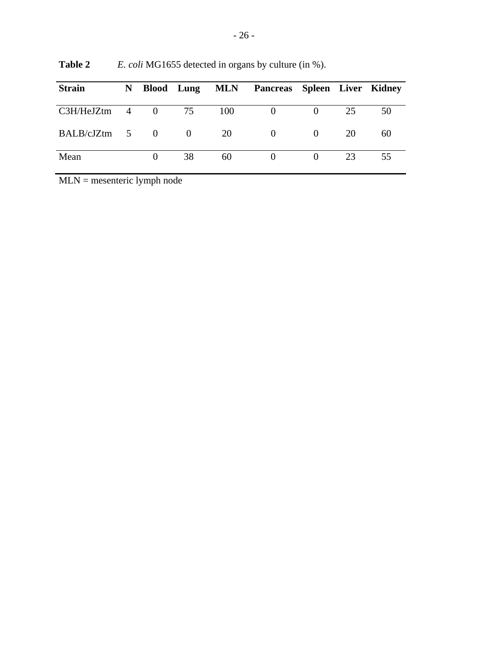| <b>Strain</b>    |          |          |     | N Blood Lung MLN Pancreas Spleen Liver Kidney |                |    |    |
|------------------|----------|----------|-----|-----------------------------------------------|----------------|----|----|
| $C3H/HeJZtm$ 4 0 |          | 75       | 100 | $\overline{0}$                                | $\overline{0}$ | 25 | 50 |
| $BALB/cJZtm$ 5 0 |          | $\sim 0$ | 20  | $\overline{0}$                                | $\theta$       | 20 | 60 |
| Mean             | $\theta$ | 38       | 60  |                                               | $\Omega$       | 23 | 55 |

**Table 2** *E. coli* MG1655 detected in organs by culture (in %).

MLN = mesenteric lymph node